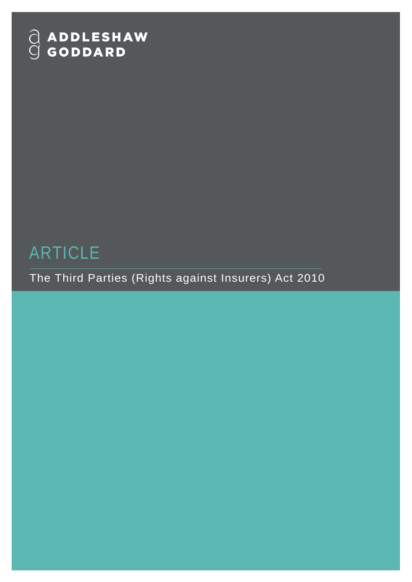# $\begin{array}{ll} \bigcirc & \textbf{ADDLESHAW} \\ \bigcirc & \textbf{GODDARD} \end{array}$

# ARTICLE

The Third Parties (Rights against Insurers) Act 2010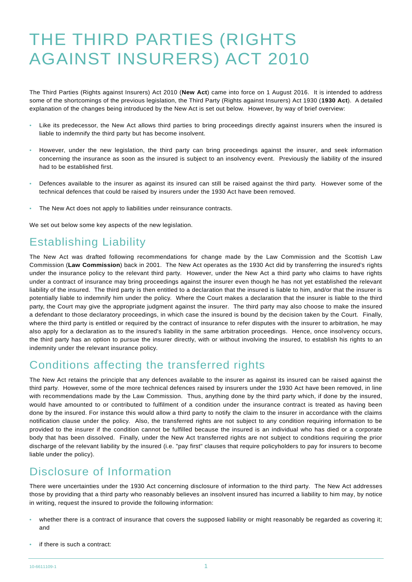## THE THIRD PARTIES (RIGHTS AGAINST INSURERS) ACT 2010

The Third Parties (Rights against Insurers) Act 2010 (**New Act**) came into force on 1 August 2016. It is intended to address some of the shortcomings of the previous legislation, the Third Party (Rights against Insurers) Act 1930 (**1930 Act**). A detailed explanation of the changes being introduced by the New Act is set out below. However, by way of brief overview:

- Like its predecessor, the New Act allows third parties to bring proceedings directly against insurers when the insured is liable to indemnify the third party but has become insolvent.
- However, under the new legislation, the third party can bring proceedings against the insurer, and seek information concerning the insurance as soon as the insured is subject to an insolvency event. Previously the liability of the insured had to be established first.
- Defences available to the insurer as against its insured can still be raised against the third party. However some of the technical defences that could be raised by insurers under the 1930 Act have been removed.
- The New Act does not apply to liabilities under reinsurance contracts.

We set out below some key aspects of the new legislation.

## Establishing Liability

The New Act was drafted following recommendations for change made by the Law Commission and the Scottish Law Commission (**Law Commission**) back in 2001. The New Act operates as the 1930 Act did by transferring the insured's rights under the insurance policy to the relevant third party. However, under the New Act a third party who claims to have rights under a contract of insurance may bring proceedings against the insurer even though he has not yet established the relevant liability of the insured. The third party is then entitled to a declaration that the insured is liable to him, and/or that the insurer is potentially liable to indemnify him under the policy. Where the Court makes a declaration that the insurer is liable to the third party, the Court may give the appropriate judgment against the insurer. The third party may also choose to make the insured a defendant to those declaratory proceedings, in which case the insured is bound by the decision taken by the Court. Finally, where the third party is entitled or required by the contract of insurance to refer disputes with the insurer to arbitration, he may also apply for a declaration as to the insured's liability in the same arbitration proceedings. Hence, once insolvency occurs, the third party has an option to pursue the insurer directly, with or without involving the insured, to establish his rights to an indemnity under the relevant insurance policy.

#### Conditions affecting the transferred rights

The New Act retains the principle that any defences available to the insurer as against its insured can be raised against the third party. However, some of the more technical defences raised by insurers under the 1930 Act have been removed, in line with recommendations made by the Law Commission. Thus, anything done by the third party which, if done by the insured, would have amounted to or contributed to fulfilment of a condition under the insurance contract is treated as having been done by the insured. For instance this would allow a third party to notify the claim to the insurer in accordance with the claims notification clause under the policy. Also, the transferred rights are not subject to any condition requiring information to be provided to the insurer if the condition cannot be fulfilled because the insured is an individual who has died or a corporate body that has been dissolved. Finally, under the New Act transferred rights are not subject to conditions requiring the prior discharge of the relevant liability by the insured (i.e. "pay first" clauses that require policyholders to pay for insurers to become liable under the policy).

#### Disclosure of Information

There were uncertainties under the 1930 Act concerning disclosure of information to the third party. The New Act addresses those by providing that a third party who reasonably believes an insolvent insured has incurred a liability to him may, by notice in writing, request the insured to provide the following information:

- whether there is a contract of insurance that covers the supposed liability or might reasonably be regarded as covering it; and
- if there is such a contract: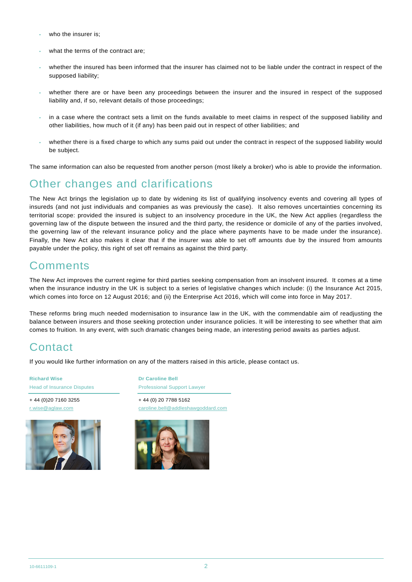- who the insurer is:
- what the terms of the contract are:
- whether the insured has been informed that the insurer has claimed not to be liable under the contract in respect of the supposed liability;
- whether there are or have been any proceedings between the insurer and the insured in respect of the supposed liability and, if so, relevant details of those proceedings;
- in a case where the contract sets a limit on the funds available to meet claims in respect of the supposed liability and other liabilities, how much of it (if any) has been paid out in respect of other liabilities; and
- whether there is a fixed charge to which any sums paid out under the contract in respect of the supposed liability would be subject.

The same information can also be requested from another person (most likely a broker) who is able to provide the information.

### Other changes and clarifications

The New Act brings the legislation up to date by widening its list of qualifying insolvency events and covering all types of insureds (and not just individuals and companies as was previously the case). It also removes uncertainties concerning its territorial scope: provided the insured is subject to an insolvency procedure in the UK, the New Act applies (regardless the governing law of the dispute between the insured and the third party, the residence or domicile of any of the parties involved, the governing law of the relevant insurance policy and the place where payments have to be made under the insurance). Finally, the New Act also makes it clear that if the insurer was able to set off amounts due by the insured from amounts payable under the policy, this right of set off remains as against the third party.

### **Comments**

The New Act improves the current regime for third parties seeking compensation from an insolvent insured. It comes at a time when the insurance industry in the UK is subject to a series of legislative changes which include: (i) the Insurance Act 2015, which comes into force on 12 August 2016; and (ii) the Enterprise Act 2016, which will come into force in May 2017.

These reforms bring much needed modernisation to insurance law in the UK, with the commendable aim of readjusting the balance between insurers and those seeking protection under insurance policies. It will be interesting to see whether that aim comes to fruition. In any event, with such dramatic changes being made, an interesting period awaits as parties adjust.

#### **Contact**

If you would like further information on any of the matters raised in this article, please contact us.

**Richard Wise** Head of Insurance Disputes

+ 44 (0)20 7160 3255 r.wise@aglaw.com



**Dr Caroline Bell** Professional Support Lawyer

+ 44 (0) 20 7788 5162 caroline.bell@addleshawgoddard.com